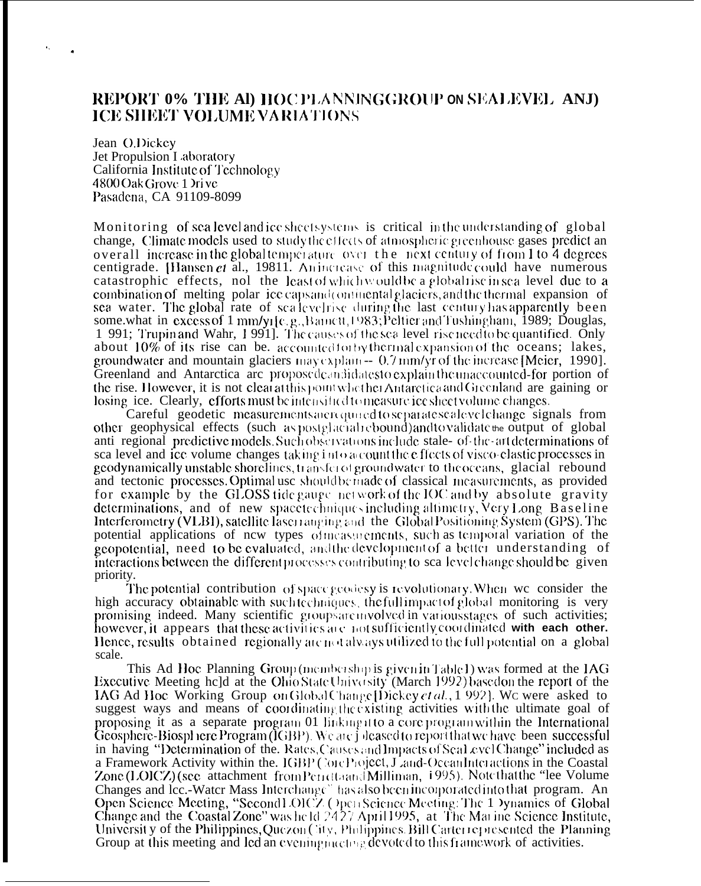# REPORT 0% THE AD HOCPLANNINGGROUP ON SEALEVEL ANJ) **ICE SHEET VOLUME VARIATIONS**

Jean O.Dickey Jet Propulsion Laboratory California Institute of Technology 4800 Oak Grove 1 Drive Pasadena, CA 91109-8099

Monitoring of sea level and ice sheetsystems is critical in the understanding of global change. Climate models used to study the effects of atmospheric greenhouse gases predict an overall increase in the global temperature over the next century of from 1 to 4 degrees centigrade. [Hansen et al., 19811. Anincrease of this magnitude could have numerous catastrophic effects, nol the least of which would be a global rise in sea level due to a combination of melting polar ice capsand continental glaciers, and the thermal expansion of sea water. The global rate of scalevelrise during the last century has apparently been some.what in excess of 1 mm/y1[c.g., Banctt, 1983; Peltier and Tushingham, 1989; Douglas, 1 991; Trupin and Wahr, 1991]. The causes of the sea level rise need to be quantified. Only about 10% of its rise can be. accounted to by thermal expansion of the oceans; lakes, groundwater and mountain glaciers may explain  $-0.7$  mm/yr of the increase [Meier, 1990]. Greenland and Antarctica are proposedeandidatesto explain the unaccounted-for portion of the rise. However, it is not clearatthis point whether Antarctica and Greenland are gaining or losing ice. Clearly, efforts must be intensified to measure ice sheet volume changes.

Careful geodetic measurements are required to separate scale velohange signals from other geophysical effects (such as postglacial rebound) and to validate the output of global anti-regional predictive models. Such observations include stale- of-the-art determinations of sea level and ice volume changes taking into a count the effects of visco-elastic processes in geodynamically unstable shorelines, transfered groundwater to theoceans, glacial rebound and tectonic processes. Optimal use should be made of classical measurements, as provided for example by the GLOSS tide gauge network of the IOC and by absolute gravity determinations, and of new spacetechniques including altimetry, Very Long Baseline Interferometry (VLBI), satellite laser ranging and the Global Positioning System (GPS). The potential applications of new types of measurements, such as temporal variation of the geopotential, need to be evaluated, and the development of a better understanding of interactions between the different processes contributing to sea level change should be given priority.

The potential contribution of space geodesy is revolutionary. When we consider the high accuracy obtainable with suchtechniques, the full impact of global monitoring is very promising indeed. Many scientific groups are myolved in various stages of such activities; however, it appears that these activities are not sufficiently coordinated with each other. Hence, results obtained regionally are not always utilized to the full potential on a global scale.

This Ad Hoc Planning Group (membership is given in Table I) was formed at the IAG Executive Meeting held at the Ohio State University (March 1992) based on the report of the IAG Ad Hoc Working Group on Global Change [Dickey et al., 1992]. We were asked to suggest ways and means of coordinating the existing activities with the ultimate goal of proposing it as a separate program 01 linking it to a core program within the International **Geosphere-Biosphere Program (IGBP).** We are joleased to report that we have been successful in having "Determination of the. Rates, Causes and Impacts of Seal evel Change" included as a Framework Activity within the. IGBP (SoreProject, J ,and-Ocean Interactions in the Coastal Zone (LOICZ) (see attachment from Perretta and Milliman, 1995). Note that the "lee Volume Changes and lcc.-Water Mass Interchange" has also been incorporated into that program. An Open Science Meeting, "Second LOICZ ( ) pen Science Meeting: The 1 ) ynamics of Global Change and the Coastal Zone" was held 24.27 A University of the Philippines, Quezon (Tity, Philippines. Bill Carter represented the Planning Group at this meeting and led an evening meeting devoted to this framework of activities.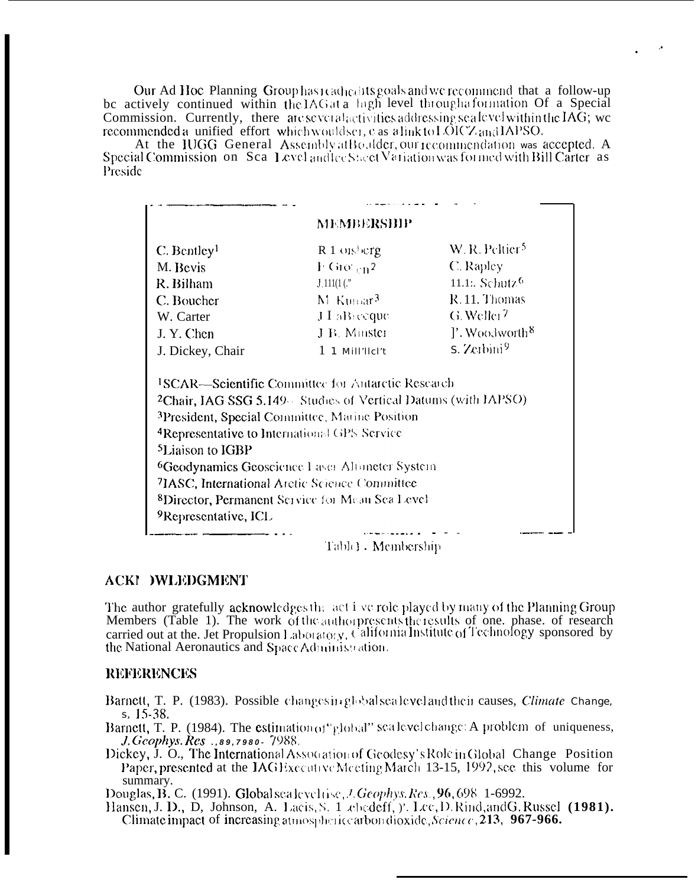Our Ad Hoc Planning Group has reached its goals and we recommend that a follow-up be actively continued within the IAG at a lagh level through a formation Of a Special Commission. Currently, there are several activities addressing sealevel within the IA $\bar{G}$ ; we recommended a unified effort which wouldser, e as a link to LOICZ and LAPSO.

At the IUGG General Assembly at Boulder, our recommendation was accepted. A Special Commission on Sca Level and lee Sheet Variation was formed with Bill Carter as Preside

|                                                                                          | MEMBERSHIP                                                                                                                                                                            |                                   |
|------------------------------------------------------------------------------------------|---------------------------------------------------------------------------------------------------------------------------------------------------------------------------------------|-----------------------------------|
| $C.$ Bentley <sup>1</sup>                                                                | $R_1$ onsherg                                                                                                                                                                         | W. R. Peltier <sup>5</sup>        |
| M. Bevis                                                                                 | $F$ Gro $t_{\rm rh}$ 2                                                                                                                                                                | C. Rapley                         |
| R. Bilham                                                                                | $1.111(1$ (."                                                                                                                                                                         | 11.1. Schutz <sup>6</sup>         |
| C. Boucher                                                                               | $M$ Kumar <sup>3</sup>                                                                                                                                                                | R.11. Thomas                      |
| W. Carter                                                                                | $JL$ aB <sub>1</sub> coque                                                                                                                                                            | G. Weller <sup>7</sup>            |
| J.Y. Chen                                                                                | J B. Minster                                                                                                                                                                          | $\gamma$ . Woodworth <sup>8</sup> |
| J. Dickey, Chair                                                                         | $1$ 1 Mill'llcl't                                                                                                                                                                     | $S.$ Zeibini <sup>9</sup>         |
|                                                                                          | <sup>1</sup> SCAR—Scientific Committee for Autarctic Research<br><sup>2</sup> Chair, IAG SSG 5.149 Studies of Vertical Datums (with IAPSO)                                            |                                   |
| <sup>4</sup> Representative to International GPS Service<br><sup>5</sup> Liaison to IGBP | <sup>3</sup> President, Special Committee, Marine Position<br><sup>6</sup> Geodynamics Geoscience Laser Altimeter System<br><sup>7</sup> IASC, International Arctic Science Committee |                                   |
| <sup>9</sup> Representative, ICL                                                         | <sup>8</sup> Director, Permanent Service for Mean Sea Level                                                                                                                           |                                   |

# **ACKI )WLEDGMENT**

The author gratefully acknowledges the act i ve role played by many of the Planning Group<br>Members (Table 1). The work of the authorpresents the results of one, phase, of research carried out at the. Jet Propulsion Laboratory, California Institute of Technology sponsored by the National Aeronautics and Space Administration.

# **REFERENCES**

- Barnett, T. P. (1983). Possible changes in global scale veland their causes, Climate Change, s, 15-38.
- Barnett, T. P. (1984). The estimation of "global" scalevel change: A problem of uniqueness, J. Geophys. Res., 89, 7980 - 7988.
- Dickey, J. O., The International Association of Geodesy's Role in Global Change Position Paper, presented at the IAGE xecutive Meeting March 13-15, 1992, see this volume for summary.

Douglas, B. C. (1991). Global scale velose, J. Geophys. Res., 96, 698–1-6992.

Hansen, J. D., D. Johnson, A. Lacis, S. 1 ebedeff, y. Lee, D. Rind, and G. Russel (1981). Climate impact of increasing atmospheric carbon dioxide, Science, 213, 967-966.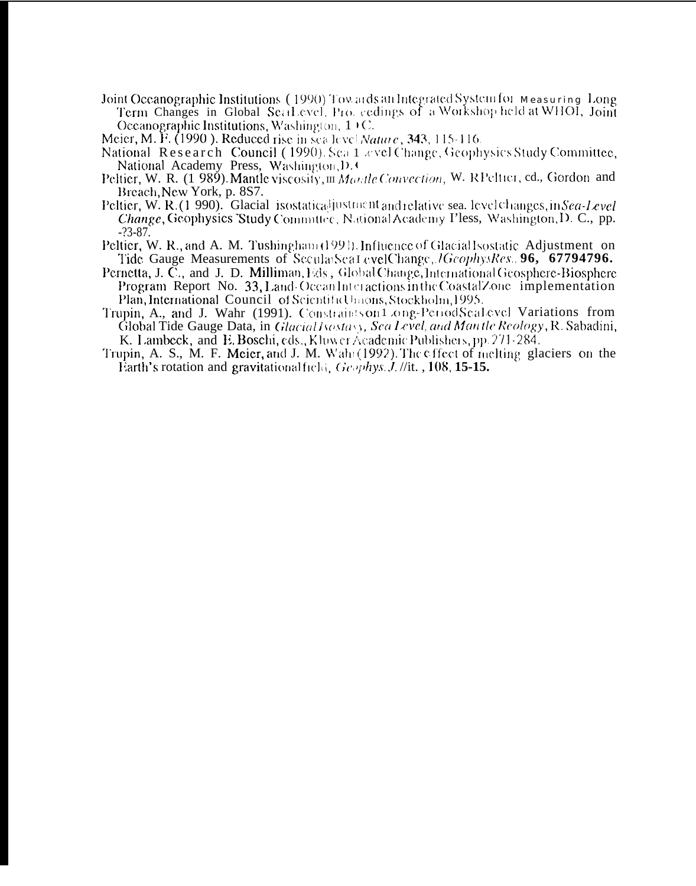Joint Oceanographic Institutions (1990) Towards an Integrated System for Measuring Long Term Changes in Global Seal evel. Pro. cedings of a Workshop held at WHOI, Joint Oceanographic Institutions, Washington,  $1 \times C$ .

Meier, M. F. (1990). Reduced rise in sea level Nature, 343, 115-116.

- National Research Council (1990). Sea 1 avel Change, Geophysics Study Committee, National Academy Press, Washington, D.C.
- Peltier, W. R. (1 989). Mantle viscosity, m Mantle Convection, W. RPeltier, ed., Gordon and Breach, New York, p. 8S7.
- Peltier, W. R. (1990). Glacial isostatical institution and relative sea. level changes, in Sea-Level Change, Geophysics Study Committee, National Academy Pless, Washington, D. C., pp.  $-23 - 87$ .
- Peltier, W. R., and A. M. Tushingham (1991). Influence of Glacial Isostatic Adjustment on Tide Gauge Measurements of SecularSea1 evelChange, *IGcophysRes* . **96, 67794796.**
- Pernetta, J. C., and J. D. Milliman, Eds., Global Change, International Geosphere-Biosphere Program Report No. 33, Land Ocean Interactions in the Coastal Zone implementation Plan, International Council of ScientificUnions, Stockholm, 1995.
- Trupin, A., and J. Wahr (1991). Constraints on 1 ong-PeriodScalevel Variations from Global Tide Gauge Data, in Glacial Isostasy, Sea Level, and Man tle Reology, R. Sabadini, K. Lambeck, and E. Boschi, eds., Kluwer Academic Publishers, pp. 271-284.
- Trupin, A. S., M. F. Meier, and J. M. Wahi (1992). The effect of melting glaciers on the Earth's rotation and gravitational field. Geophys. J. //it.,  $108$ ,  $15-15$ .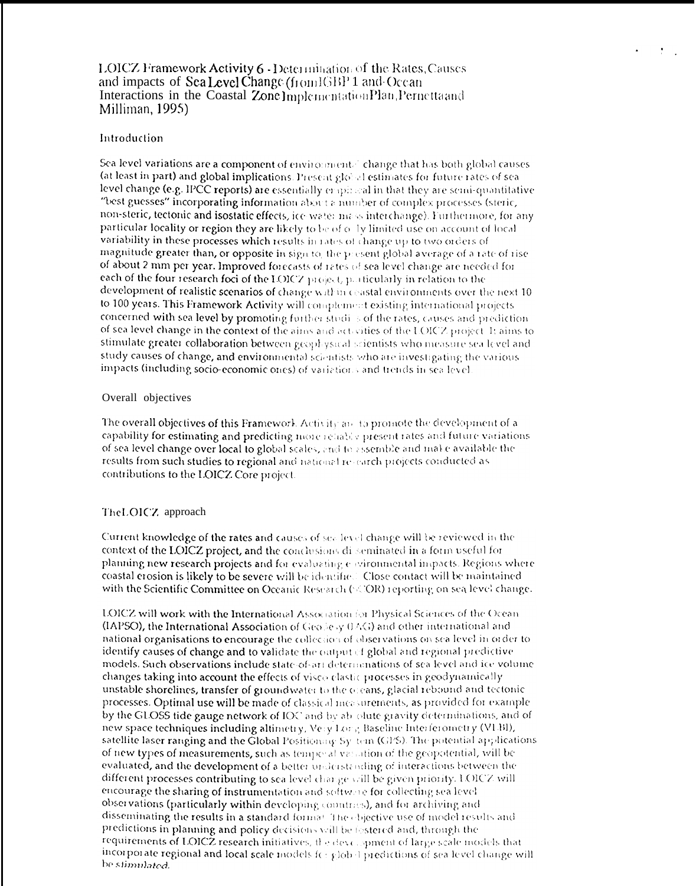## LOICZ Framework Activity 6 - Determination of the Rates, Causes and impacts of Sea Level Change (from IGBP 1 and Ocean Interactions in the Coastal Zone Implementation Plan, Pernetta and Milliman, 1995)

#### Introduction

Sea level variations are a component of environmental change that has both global causes (at least in part) and global implications. Present global estimates for future rates of sea level change (e.g. IPCC reports) are essentially empirical in that they are semi-quantitative "best guesses" incorporating information about a number of complex processes (steric, non-steric, tectonic and isostatic effects, ice water mass interchange). Furthermore, for any particular locality or region they are likely to be of olly limited use on account of local variability in these processes which results in rates of change up to two orders of magnitude greater than, or opposite in sign to, the present global average of a rate of rise of about 2 mm per year. Improved forecasts of rates of sea level change are needed for each of the four research foci of the LOICZ project, particularly in relation to the development of realistic scenarios of change within ceastal environments over the next 10 to 100 years. This Framework Activity will complement existing international projects concerned with sea level by promoting forther studies of the rates, causes and prediction of sea level change in the context of the aims and activities of the LOICZ project. It aims to stimulate greater collaboration between geophysical scientists who measure sea level and study causes of change, and environmental scientists who are investigating the various impacts (including socio-economic ones) of variations and trends in sea level

#### Overall objectives

The overall objectives of this Framework Activity and to promote the development of a capability for estimating and predicting more rehably present rates and future variations of sea level change over local to global scales, and to assemble and make available the results from such studies to regional and national re-earch projects conducted as contributions to the LOICZ Core project.

#### The LOICZ approach

Current knowledge of the rates and causes of sea level change will be reviewed in the context of the LOICZ project, and the conclusions disseminated in a form useful for planning new research projects and for evaluating environmental impacts. Regions where coastal erosion is likely to be severe will be identified. Close contact will be maintained with the Scientific Committee on Oceanic Research (COR) reporting on sea level change.

**LOICZ will work with the International Association for Physical Sciences of the Ocean** (IAPSO), the International Association of Geodesy 0.4G) and other international and national organisations to encourage the collection of observations on sea level in order to identify causes of change and to validate the output of global and regional predictive models. Such observations include state-of-art determinations of sea level and ice volume changes taking into account the effects of visco-clastic processes in geodynamically unstable shorelines, transfer of groundwater to the oreans, glacial rebound and tectonic processes. Optimal use will be made of classical measurements, as provided for example by the GLOSS tide gauge network of IOC and by about gravity determinations, and of new space techniques including altimetry, Very Lory, Baseline Interferometry (VLBI), satellite laser ranging and the Global Positioning Sy-tem (GPS). The potential applications of new types of measurements, such as temporal variation of the geopotential, will be evaluated, and the development of a better understanding of interactions between the different processes contributing to sea level charge will be given priority. LOICZ will encourage the sharing of instrumentation and software for collecting sea level observations (particularly within developing countries), and for archiving and disseminating the results in a standard formal. The objective use of model results and predictions in planning and policy decisions will be lestered and, through the requirements of LOICZ research initiatives, the devict opment of large scale models that incorporate regional and local scale models for glob I predictions of sea level change will be stimulated.